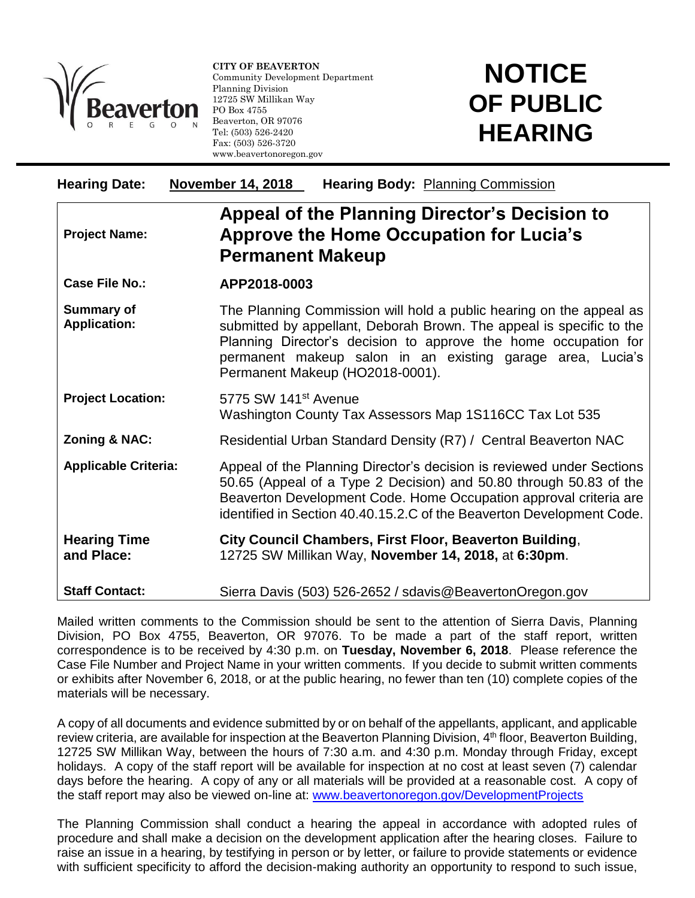

l

**CITY OF BEAVERTON** Community Development Department Planning Division 12725 SW Millikan Way PO Box 4755 Beaverton, OR 97076 Tel: (503) 526-2420 Fax: (503) 526-3720 www.beavertonoregon.gov

## **NOTICE OF PUBLIC HEARING**

| <b>Hearing Date:</b>                     | <b>November 14, 2018</b><br><b>Hearing Body: Planning Commission</b>                                                                                                                                                                                                                                            |
|------------------------------------------|-----------------------------------------------------------------------------------------------------------------------------------------------------------------------------------------------------------------------------------------------------------------------------------------------------------------|
| <b>Project Name:</b>                     | Appeal of the Planning Director's Decision to<br><b>Approve the Home Occupation for Lucia's</b><br><b>Permanent Makeup</b>                                                                                                                                                                                      |
| Case File No.:                           | APP2018-0003                                                                                                                                                                                                                                                                                                    |
| <b>Summary of</b><br><b>Application:</b> | The Planning Commission will hold a public hearing on the appeal as<br>submitted by appellant, Deborah Brown. The appeal is specific to the<br>Planning Director's decision to approve the home occupation for<br>permanent makeup salon in an existing garage area, Lucia's<br>Permanent Makeup (HO2018-0001). |
| <b>Project Location:</b>                 | 5775 SW 141 <sup>st</sup> Avenue<br>Washington County Tax Assessors Map 1S116CC Tax Lot 535                                                                                                                                                                                                                     |
| <b>Zoning &amp; NAC:</b>                 | Residential Urban Standard Density (R7) / Central Beaverton NAC                                                                                                                                                                                                                                                 |
| <b>Applicable Criteria:</b>              | Appeal of the Planning Director's decision is reviewed under Sections<br>50.65 (Appeal of a Type 2 Decision) and 50.80 through 50.83 of the<br>Beaverton Development Code. Home Occupation approval criteria are<br>identified in Section 40.40.15.2.C of the Beaverton Development Code.                       |
| <b>Hearing Time</b><br>and Place:        | City Council Chambers, First Floor, Beaverton Building,<br>12725 SW Millikan Way, November 14, 2018, at 6:30pm.                                                                                                                                                                                                 |
| <b>Staff Contact:</b>                    | Sierra Davis (503) 526-2652 / sdavis@BeavertonOregon.gov                                                                                                                                                                                                                                                        |

Mailed written comments to the Commission should be sent to the attention of Sierra Davis, Planning Division, PO Box 4755, Beaverton, OR 97076. To be made a part of the staff report, written correspondence is to be received by 4:30 p.m. on **Tuesday, November 6, 2018**. Please reference the Case File Number and Project Name in your written comments. If you decide to submit written comments or exhibits after November 6, 2018, or at the public hearing, no fewer than ten (10) complete copies of the materials will be necessary.

A copy of all documents and evidence submitted by or on behalf of the appellants, applicant, and applicable review criteria, are available for inspection at the Beaverton Planning Division, 4<sup>th</sup> floor, Beaverton Building, 12725 SW Millikan Way, between the hours of 7:30 a.m. and 4:30 p.m. Monday through Friday, except holidays. A copy of the staff report will be available for inspection at no cost at least seven (7) calendar days before the hearing. A copy of any or all materials will be provided at a reasonable cost. A copy of the staff report may also be viewed on-line at: [www.beavertonoregon.gov/DevelopmentProjects](http://www.beavertonoregon.gov/DevelopmentProjects)

The Planning Commission shall conduct a hearing the appeal in accordance with adopted rules of procedure and shall make a decision on the development application after the hearing closes. Failure to raise an issue in a hearing, by testifying in person or by letter, or failure to provide statements or evidence with sufficient specificity to afford the decision-making authority an opportunity to respond to such issue,